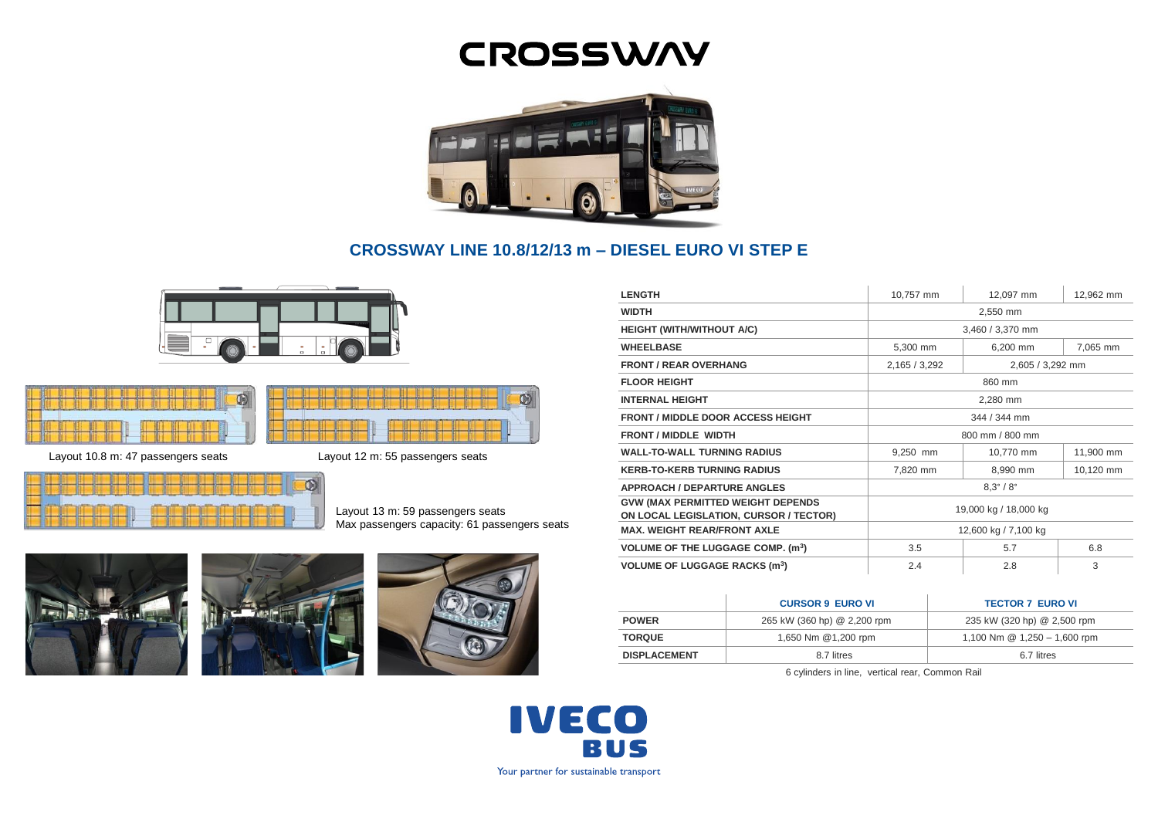# **CROSSWAY**



# **CROSSWAY LINE 10.8/12/13 m – DIESEL EURO VI STEP E**

Ñ





Layout 10.8 m: 47 passengers seats Layout 12 m: 55 passengers seats



Layout 13 m: 59 passengers seats Max passengers capacity: 61 passengers seats







| <b>LENGTH</b>                                                                      | 10,757 mm                 | 12,097 mm        | 12,962 mm |
|------------------------------------------------------------------------------------|---------------------------|------------------|-----------|
| <b>WIDTH</b>                                                                       | 2,550 mm                  |                  |           |
| <b>HEIGHT (WITH/WITHOUT A/C)</b>                                                   | 3,460 / 3,370 mm          |                  |           |
| <b>WHEELBASE</b>                                                                   | 5,300 mm                  | 6,200 mm         | 7,065 mm  |
| <b>FRONT / REAR OVERHANG</b>                                                       | 2,165 / 3,292             | 2,605 / 3,292 mm |           |
| <b>FLOOR HEIGHT</b>                                                                | 860 mm                    |                  |           |
| <b>INTERNAL HEIGHT</b>                                                             | 2,280 mm                  |                  |           |
| <b>FRONT / MIDDLE DOOR ACCESS HEIGHT</b>                                           | 344 / 344 mm              |                  |           |
| <b>FRONT / MIDDLE WIDTH</b>                                                        | 800 mm / 800 mm           |                  |           |
| <b>WALL-TO-WALL TURNING RADIUS</b>                                                 | 9,250 mm                  | 10,770 mm        | 11,900 mm |
| <b>KERB-TO-KERB TURNING RADIUS</b>                                                 | 7,820 mm                  | 8,990 mm         | 10,120 mm |
| <b>APPROACH / DEPARTURE ANGLES</b>                                                 | $8.3^{\circ} / 8^{\circ}$ |                  |           |
| <b>GVW (MAX PERMITTED WEIGHT DEPENDS</b><br>ON LOCAL LEGISLATION, CURSOR / TECTOR) | 19,000 kg / 18,000 kg     |                  |           |
| <b>MAX. WEIGHT REAR/FRONT AXLE</b>                                                 | 12,600 kg / 7,100 kg      |                  |           |
| <b>VOLUME OF THE LUGGAGE COMP. (m<sup>3</sup>)</b>                                 | 3.5                       | 5.7              | 6.8       |
| <b>VOLUME OF LUGGAGE RACKS (m<sup>3</sup>)</b>                                     | 2.4                       | 2.8              | 3         |

|                     | <b>CURSOR 9 EURO VI</b>     | <b>TECTOR 7 EURO VI</b>        |
|---------------------|-----------------------------|--------------------------------|
| <b>POWER</b>        | 265 kW (360 hp) @ 2,200 rpm | 235 kW (320 hp) @ 2,500 rpm    |
| <b>TORQUE</b>       | 1,650 Nm @1,200 rpm         | 1,100 Nm $@$ 1,250 - 1,600 rpm |
| <b>DISPLACEMENT</b> | 8.7 litres                  | 6.7 litres                     |

6 cylinders in line, vertical rear, Common Rail

**IVECO BUS** Your partner for sustainable transport